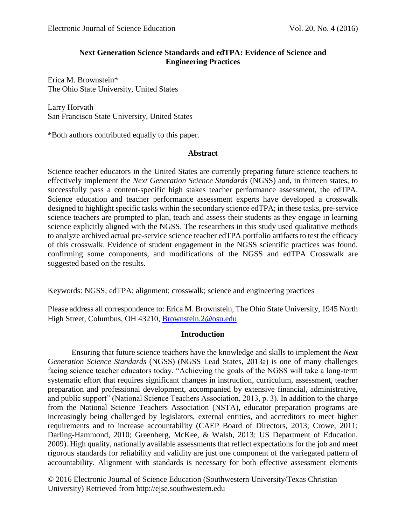# **Next Generation Science Standards and edTPA: Evidence of Science and Engineering Practices**

Erica M. Brownstein\* The Ohio State University, United States

Larry Horvath San Francisco State University, United States

\*Both authors contributed equally to this paper.

# **Abstract**

Science teacher educators in the United States are currently preparing future science teachers to effectively implement the *Next Generation Science Standards* (NGSS) and, in thirteen states, to successfully pass a content-specific high stakes teacher performance assessment, the edTPA. Science education and teacher performance assessment experts have developed a crosswalk designed to highlight specific tasks within the secondary science edTPA; in these tasks, pre-service science teachers are prompted to plan, teach and assess their students as they engage in learning science explicitly aligned with the NGSS. The researchers in this study used qualitative methods to analyze archived actual pre-service science teacher edTPA portfolio artifacts to test the efficacy of this crosswalk. Evidence of student engagement in the NGSS scientific practices was found, confirming some components, and modifications of the NGSS and edTPA Crosswalk are suggested based on the results.

Keywords: NGSS; edTPA; alignment; crosswalk; science and engineering practices

Please address all correspondence to: Erica M. Brownstein, The Ohio State University, 1945 North High Street, Columbus, OH 43210, [Brownstein.2@osu.edu](mailto:Brownstein.2@osu.edu)

## **Introduction**

Ensuring that future science teachers have the knowledge and skills to implement the *Next Generation Science Standards* (NGSS) (NGSS Lead States, 2013a) is one of many challenges facing science teacher educators today. "Achieving the goals of the NGSS will take a long-term systematic effort that requires significant changes in instruction, curriculum, assessment, teacher preparation and professional development, accompanied by extensive financial, administrative, and public support" (National Science Teachers Association, 2013, p. 3). In addition to the charge from the National Science Teachers Association (NSTA), educator preparation programs are increasingly being challenged by legislators, external entities, and accreditors to meet higher requirements and to increase accountability (CAEP Board of Directors, 2013; Crowe, 2011; Darling-Hammond, 2010; Greenberg, McKee, & Walsh, 2013; US Department of Education, 2009). High quality, nationally available assessments that reflect expectations for the job and meet rigorous standards for reliability and validity are just one component of the variegated pattern of accountability. Alignment with standards is necessary for both effective assessment elements

© 2016 Electronic Journal of Science Education (Southwestern University/Texas Christian University) Retrieved from http://ejse.southwestern.edu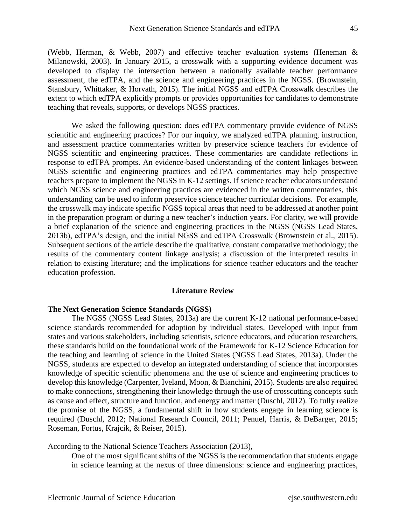(Webb, Herman, & Webb, 2007) and effective teacher evaluation systems (Heneman & Milanowski, 2003). In January 2015, a crosswalk with a supporting evidence document was developed to display the intersection between a nationally available teacher performance assessment, the edTPA, and the science and engineering practices in the NGSS. (Brownstein, Stansbury, Whittaker, & Horvath, 2015). The initial NGSS and edTPA Crosswalk describes the extent to which edTPA explicitly prompts or provides opportunities for candidates to demonstrate teaching that reveals, supports, or develops NGSS practices.

We asked the following question: does edTPA commentary provide evidence of NGSS scientific and engineering practices? For our inquiry, we analyzed edTPA planning, instruction, and assessment practice commentaries written by preservice science teachers for evidence of NGSS scientific and engineering practices. These commentaries are candidate reflections in response to edTPA prompts. An evidence-based understanding of the content linkages between NGSS scientific and engineering practices and edTPA commentaries may help prospective teachers prepare to implement the NGSS in K-12 settings. If science teacher educators understand which NGSS science and engineering practices are evidenced in the written commentaries, this understanding can be used to inform preservice science teacher curricular decisions. For example, the crosswalk may indicate specific NGSS topical areas that need to be addressed at another point in the preparation program or during a new teacher's induction years. For clarity, we will provide a brief explanation of the science and engineering practices in the NGSS (NGSS Lead States, 2013b), edTPA's design, and the initial NGSS and edTPA Crosswalk (Brownstein et al., 2015). Subsequent sections of the article describe the qualitative, constant comparative methodology; the results of the commentary content linkage analysis; a discussion of the interpreted results in relation to existing literature; and the implications for science teacher educators and the teacher education profession.

#### **Literature Review**

### **The Next Generation Science Standards (NGSS)**

The NGSS (NGSS Lead States, 2013a) are the current K-12 national performance-based science standards recommended for adoption by individual states. Developed with input from states and various stakeholders, including scientists, science educators, and education researchers, these standards build on the foundational work of the Framework for K-12 Science Education for the teaching and learning of science in the United States (NGSS Lead States, 2013a). Under the NGSS, students are expected to develop an integrated understanding of science that incorporates knowledge of specific scientific phenomena and the use of science and engineering practices to develop this knowledge (Carpenter, Iveland, Moon, & Bianchini, 2015). Students are also required to make connections, strengthening their knowledge through the use of crosscutting concepts such as cause and effect, structure and function, and energy and matter (Duschl, 2012). To fully realize the promise of the NGSS, a fundamental shift in how students engage in learning science is required (Duschl, 2012; National Research Council, 2011; Penuel, Harris, & DeBarger, 2015; Roseman, Fortus, Krajcik, & Reiser, 2015).

According to the National Science Teachers Association (2013),

One of the most significant shifts of the NGSS is the recommendation that students engage in science learning at the nexus of three dimensions: science and engineering practices,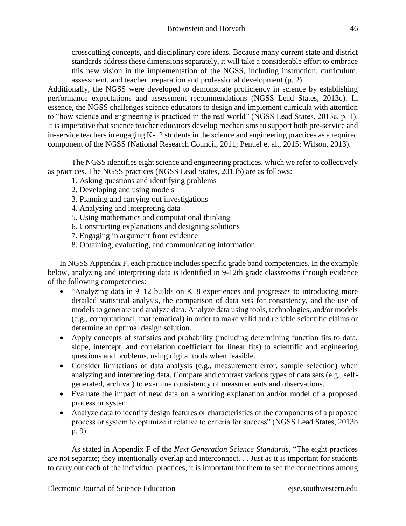crosscutting concepts, and disciplinary core ideas. Because many current state and district standards address these dimensions separately, it will take a considerable effort to embrace this new vision in the implementation of the NGSS, including instruction, curriculum, assessment, and teacher preparation and professional development (p. 2).

Additionally, the NGSS were developed to demonstrate proficiency in science by establishing performance expectations and assessment recommendations (NGSS Lead States, 2013c). In essence, the NGSS challenges science educators to design and implement curricula with attention to "how science and engineering is practiced in the real world" (NGSS Lead States, 2013c, p. 1). It is imperative that science teacher educators develop mechanisms to support both pre-service and in-service teachers in engaging K-12 students in the science and engineering practices as a required component of the NGSS (National Research Council, 2011; Penuel et al., 2015; Wilson, 2013).

The NGSS identifies eight science and engineering practices, which we refer to collectively as practices. The NGSS practices (NGSS Lead States, 2013b) are as follows:

- 1. Asking questions and identifying problems
- 2. Developing and using models
- 3. Planning and carrying out investigations
- 4. Analyzing and interpreting data
- 5. Using mathematics and computational thinking
- 6. Constructing explanations and designing solutions
- 7. Engaging in argument from evidence
- 8. Obtaining, evaluating, and communicating information

In NGSS Appendix F, each practice includes specific grade band competencies. In the example below, analyzing and interpreting data is identified in 9-12th grade classrooms through evidence of the following competencies:

- "Analyzing data in 9–12 builds on K–8 experiences and progresses to introducing more detailed statistical analysis, the comparison of data sets for consistency, and the use of models to generate and analyze data. Analyze data using tools, technologies, and/or models (e.g., computational, mathematical) in order to make valid and reliable scientific claims or determine an optimal design solution.
- Apply concepts of statistics and probability (including determining function fits to data, slope, intercept, and correlation coefficient for linear fits) to scientific and engineering questions and problems, using digital tools when feasible.
- Consider limitations of data analysis (e.g., measurement error, sample selection) when analyzing and interpreting data. Compare and contrast various types of data sets (e.g., selfgenerated, archival) to examine consistency of measurements and observations.
- Evaluate the impact of new data on a working explanation and/or model of a proposed process or system.
- Analyze data to identify design features or characteristics of the components of a proposed process or system to optimize it relative to criteria for success" (NGSS Lead States, 2013b p. 9)

As stated in Appendix F of the *Next Generation Science Standards*, "The eight practices are not separate; they intentionally overlap and interconnect. . . Just as it is important for students to carry out each of the individual practices, it is important for them to see the connections among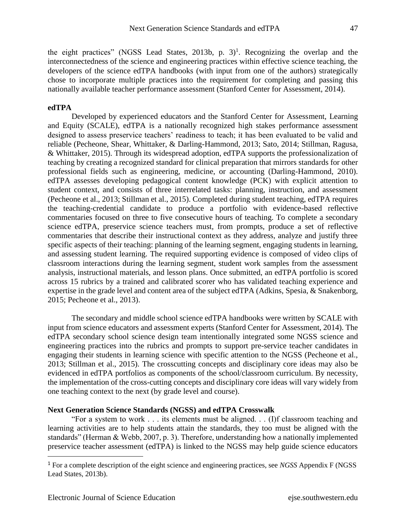the eight practices" (NGSS Lead States, 2013b, p.  $3$ )<sup>1</sup>. Recognizing the overlap and the interconnectedness of the science and engineering practices within effective science teaching, the developers of the science edTPA handbooks (with input from one of the authors) strategically chose to incorporate multiple practices into the requirement for completing and passing this nationally available teacher performance assessment (Stanford Center for Assessment, 2014).

## **edTPA**

Developed by experienced educators and the Stanford Center for Assessment, Learning and Equity (SCALE), edTPA is a nationally recognized high stakes performance assessment designed to assess preservice teachers' readiness to teach; it has been evaluated to be valid and reliable (Pecheone, Shear, Whittaker, & Darling-Hammond, 2013; Sato, 2014; Stillman, Ragusa, & Whittaker, 2015). Through its widespread adoption, edTPA supports the professionalization of teaching by creating a recognized standard for clinical preparation that mirrors standards for other professional fields such as engineering, medicine, or accounting (Darling-Hammond, 2010). edTPA assesses developing pedagogical content knowledge (PCK) with explicit attention to student context, and consists of three interrelated tasks: planning, instruction, and assessment (Pecheone et al., 2013; Stillman et al., 2015). Completed during student teaching, edTPA requires the teaching-credential candidate to produce a portfolio with evidence-based reflective commentaries focused on three to five consecutive hours of teaching. To complete a secondary science edTPA, preservice science teachers must, from prompts, produce a set of reflective commentaries that describe their instructional context as they address, analyze and justify three specific aspects of their teaching: planning of the learning segment, engaging students in learning, and assessing student learning. The required supporting evidence is composed of video clips of classroom interactions during the learning segment, student work samples from the assessment analysis, instructional materials, and lesson plans. Once submitted, an edTPA portfolio is scored across 15 rubrics by a trained and calibrated scorer who has validated teaching experience and expertise in the grade level and content area of the subject edTPA (Adkins, Spesia, & Snakenborg, 2015; Pecheone et al., 2013).

The secondary and middle school science edTPA handbooks were written by SCALE with input from science educators and assessment experts (Stanford Center for Assessment, 2014). The edTPA secondary school science design team intentionally integrated some NGSS science and engineering practices into the rubrics and prompts to support pre-service teacher candidates in engaging their students in learning science with specific attention to the NGSS (Pecheone et al., 2013; Stillman et al., 2015). The crosscutting concepts and disciplinary core ideas may also be evidenced in edTPA portfolios as components of the school/classroom curriculum. By necessity, the implementation of the cross-cutting concepts and disciplinary core ideas will vary widely from one teaching context to the next (by grade level and course).

## **Next Generation Science Standards (NGSS) and edTPA Crosswalk**

"For a system to work . . . its elements must be aligned. . . (I)f classroom teaching and learning activities are to help students attain the standards, they too must be aligned with the standards" (Herman & Webb, 2007, p. 3). Therefore, understanding how a nationally implemented preservice teacher assessment (edTPA) is linked to the NGSS may help guide science educators

 $\overline{\phantom{a}}$ 

<sup>1</sup> For a complete description of the eight science and engineering practices, see *NGSS* Appendix F (NGSS Lead States, 2013b).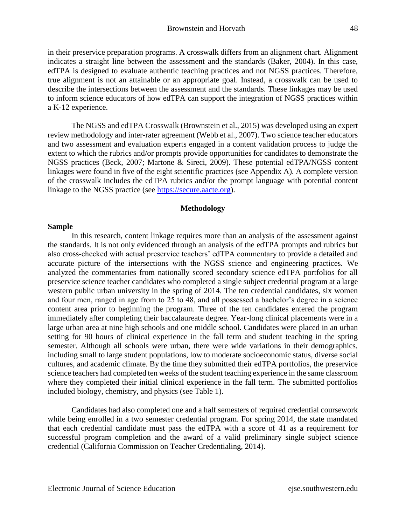in their preservice preparation programs. A crosswalk differs from an alignment chart. Alignment indicates a straight line between the assessment and the standards (Baker, 2004). In this case, edTPA is designed to evaluate authentic teaching practices and not NGSS practices. Therefore, true alignment is not an attainable or an appropriate goal. Instead, a crosswalk can be used to describe the intersections between the assessment and the standards. These linkages may be used to inform science educators of how edTPA can support the integration of NGSS practices within a K-12 experience.

The NGSS and edTPA Crosswalk (Brownstein et al., 2015) was developed using an expert review methodology and inter-rater agreement (Webb et al., 2007). Two science teacher educators and two assessment and evaluation experts engaged in a content validation process to judge the extent to which the rubrics and/or prompts provide opportunities for candidates to demonstrate the NGSS practices (Beck, 2007; Martone & Sireci, 2009). These potential edTPA/NGSS content linkages were found in five of the eight scientific practices (see Appendix A). A complete version of the crosswalk includes the edTPA rubrics and/or the prompt language with potential content linkage to the NGSS practice (see [https://secure.aacte.org\)](https://secure.aacte.org/).

## **Methodology**

#### **Sample**

In this research, content linkage requires more than an analysis of the assessment against the standards. It is not only evidenced through an analysis of the edTPA prompts and rubrics but also cross-checked with actual preservice teachers' edTPA commentary to provide a detailed and accurate picture of the intersections with the NGSS science and engineering practices. We analyzed the commentaries from nationally scored secondary science edTPA portfolios for all preservice science teacher candidates who completed a single subject credential program at a large western public urban university in the spring of 2014. The ten credential candidates, six women and four men, ranged in age from to 25 to 48, and all possessed a bachelor's degree in a science content area prior to beginning the program. Three of the ten candidates entered the program immediately after completing their baccalaureate degree. Year-long clinical placements were in a large urban area at nine high schools and one middle school. Candidates were placed in an urban setting for 90 hours of clinical experience in the fall term and student teaching in the spring semester. Although all schools were urban, there were wide variations in their demographics, including small to large student populations, low to moderate socioeconomic status, diverse social cultures, and academic climate. By the time they submitted their edTPA portfolios, the preservice science teachers had completed ten weeks of the student teaching experience in the same classroom where they completed their initial clinical experience in the fall term. The submitted portfolios included biology, chemistry, and physics (see Table 1).

Candidates had also completed one and a half semesters of required credential coursework while being enrolled in a two semester credential program. For spring 2014, the state mandated that each credential candidate must pass the edTPA with a score of 41 as a requirement for successful program completion and the award of a valid preliminary single subject science credential (California Commission on Teacher Credentialing, 2014).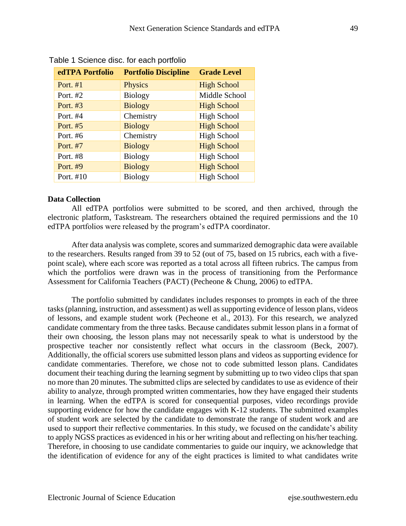| edTPA Portfolio | <b>Portfolio Discipline</b> | <b>Grade Level</b> |
|-----------------|-----------------------------|--------------------|
| Port. $#1$      | <b>Physics</b>              | <b>High School</b> |
| Port. #2        | <b>Biology</b>              | Middle School      |
| Port. $#3$      | <b>Biology</b>              | <b>High School</b> |
| Port. #4        | Chemistry                   | <b>High School</b> |
| Port. #5        | <b>Biology</b>              | <b>High School</b> |
| Port. #6        | Chemistry                   | <b>High School</b> |
| Port. #7        | <b>Biology</b>              | <b>High School</b> |
| Port. #8        | <b>Biology</b>              | <b>High School</b> |
| Port. #9        | <b>Biology</b>              | <b>High School</b> |
| Port. #10       | <b>Biology</b>              | <b>High School</b> |

Table 1 Science disc. for each portfolio

## **Data Collection**

All edTPA portfolios were submitted to be scored, and then archived, through the electronic platform, Taskstream. The researchers obtained the required permissions and the 10 edTPA portfolios were released by the program's edTPA coordinator.

After data analysis was complete, scores and summarized demographic data were available to the researchers. Results ranged from 39 to 52 (out of 75, based on 15 rubrics, each with a fivepoint scale), where each score was reported as a total across all fifteen rubrics. The campus from which the portfolios were drawn was in the process of transitioning from the Performance Assessment for California Teachers (PACT) (Pecheone & Chung, 2006) to edTPA.

The portfolio submitted by candidates includes responses to prompts in each of the three tasks (planning, instruction, and assessment) as well as supporting evidence of lesson plans, videos of lessons, and example student work (Pecheone et al., 2013). For this research, we analyzed candidate commentary from the three tasks. Because candidates submit lesson plans in a format of their own choosing, the lesson plans may not necessarily speak to what is understood by the prospective teacher nor consistently reflect what occurs in the classroom (Beck, 2007). Additionally, the official scorers use submitted lesson plans and videos as supporting evidence for candidate commentaries. Therefore, we chose not to code submitted lesson plans. Candidates document their teaching during the learning segment by submitting up to two video clips that span no more than 20 minutes. The submitted clips are selected by candidates to use as evidence of their ability to analyze, through prompted written commentaries, how they have engaged their students in learning. When the edTPA is scored for consequential purposes, video recordings provide supporting evidence for how the candidate engages with K-12 students. The submitted examples of student work are selected by the candidate to demonstrate the range of student work and are used to support their reflective commentaries. In this study, we focused on the candidate's ability to apply NGSS practices as evidenced in his or her writing about and reflecting on his/her teaching. Therefore, in choosing to use candidate commentaries to guide our inquiry, we acknowledge that the identification of evidence for any of the eight practices is limited to what candidates write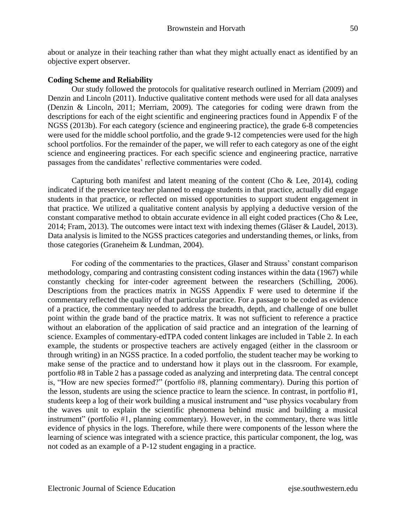about or analyze in their teaching rather than what they might actually enact as identified by an objective expert observer.

# **Coding Scheme and Reliability**

Our study followed the protocols for qualitative research outlined in Merriam (2009) and Denzin and Lincoln (2011). Inductive qualitative content methods were used for all data analyses (Denzin & Lincoln, 2011; Merriam, 2009). The categories for coding were drawn from the descriptions for each of the eight scientific and engineering practices found in Appendix F of the NGSS (2013b). For each category (science and engineering practice), the grade 6-8 competencies were used for the middle school portfolio, and the grade 9-12 competencies were used for the high school portfolios. For the remainder of the paper, we will refer to each category as one of the eight science and engineering practices. For each specific science and engineering practice, narrative passages from the candidates' reflective commentaries were coded.

Capturing both manifest and latent meaning of the content (Cho  $\&$  Lee, 2014), coding indicated if the preservice teacher planned to engage students in that practice, actually did engage students in that practice, or reflected on missed opportunities to support student engagement in that practice. We utilized a qualitative content analysis by applying a deductive version of the constant comparative method to obtain accurate evidence in all eight coded practices (Cho & Lee, 2014; Fram, 2013). The outcomes were intact text with indexing themes (Gläser & Laudel, 2013). Data analysis is limited to the NGSS practices categories and understanding themes, or links, from those categories (Graneheim & Lundman, 2004).

For coding of the commentaries to the practices, Glaser and Strauss' constant comparison methodology, comparing and contrasting consistent coding instances within the data (1967) while constantly checking for inter-coder agreement between the researchers (Schilling, 2006). Descriptions from the practices matrix in NGSS Appendix F were used to determine if the commentary reflected the quality of that particular practice. For a passage to be coded as evidence of a practice, the commentary needed to address the breadth, depth, and challenge of one bullet point within the grade band of the practice matrix. It was not sufficient to reference a practice without an elaboration of the application of said practice and an integration of the learning of science. Examples of commentary-edTPA coded content linkages are included in Table 2. In each example, the students or prospective teachers are actively engaged (either in the classroom or through writing) in an NGSS practice. In a coded portfolio, the student teacher may be working to make sense of the practice and to understand how it plays out in the classroom. For example, portfolio #8 in Table 2 has a passage coded as analyzing and interpreting data. The central concept is, "How are new species formed?" (portfolio #8, planning commentary). During this portion of the lesson, students are using the science practice to learn the science. In contrast, in portfolio #1, students keep a log of their work building a musical instrument and "use physics vocabulary from the waves unit to explain the scientific phenomena behind music and building a musical instrument" (portfolio #1, planning commentary). However, in the commentary, there was little evidence of physics in the logs. Therefore, while there were components of the lesson where the learning of science was integrated with a science practice, this particular component, the log, was not coded as an example of a P-12 student engaging in a practice.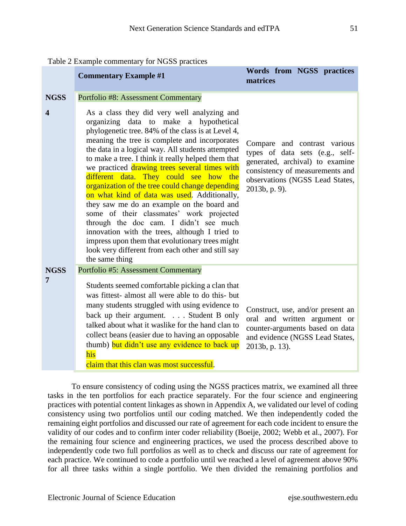|                  | <b>Commentary Example #1</b>                                                                                                                                                                                                                                                                                                                                                                                                                                                                                                                                                                                                                                                                                                                                                                                          | Words from NGSS practices<br>matrices                                                                                                                                                     |
|------------------|-----------------------------------------------------------------------------------------------------------------------------------------------------------------------------------------------------------------------------------------------------------------------------------------------------------------------------------------------------------------------------------------------------------------------------------------------------------------------------------------------------------------------------------------------------------------------------------------------------------------------------------------------------------------------------------------------------------------------------------------------------------------------------------------------------------------------|-------------------------------------------------------------------------------------------------------------------------------------------------------------------------------------------|
| <b>NGSS</b>      | <b>Portfolio #8: Assessment Commentary</b>                                                                                                                                                                                                                                                                                                                                                                                                                                                                                                                                                                                                                                                                                                                                                                            |                                                                                                                                                                                           |
| $\boldsymbol{4}$ | As a class they did very well analyzing and<br>organizing data to make a hypothetical<br>phylogenetic tree. 84% of the class is at Level 4,<br>meaning the tree is complete and incorporates<br>the data in a logical way. All students attempted<br>to make a tree. I think it really helped them that<br>we practiced drawing trees several times with<br>different data. They could see how the<br>organization of the tree could change depending<br>on what kind of data was used. Additionally,<br>they saw me do an example on the board and<br>some of their classmates' work projected<br>through the doc cam. I didn't see much<br>innovation with the trees, although I tried to<br>impress upon them that evolutionary trees might<br>look very different from each other and still say<br>the same thing | Compare and contrast various<br>types of data sets (e.g., self-<br>generated, archival) to examine<br>consistency of measurements and<br>observations (NGSS Lead States,<br>2013b, p. 9). |
| <b>NGSS</b>      | <b>Portfolio #5: Assessment Commentary</b>                                                                                                                                                                                                                                                                                                                                                                                                                                                                                                                                                                                                                                                                                                                                                                            |                                                                                                                                                                                           |
| 7                | Students seemed comfortable picking a clan that<br>was fittest- almost all were able to do this- but<br>many students struggled with using evidence to<br>back up their argument. Student B only<br>talked about what it was like for the hand clan to<br>collect beans (easier due to having an opposable<br>thumb) but didn't use any evidence to back up<br>his<br>claim that this clan was most successful.                                                                                                                                                                                                                                                                                                                                                                                                       | Construct, use, and/or present an<br>oral and written argument or<br>counter-arguments based on data<br>and evidence (NGSS Lead States,<br>2013b, p. 13).                                 |

| Table 2 Example commentary for NGSS practices |  |  |  |
|-----------------------------------------------|--|--|--|
|-----------------------------------------------|--|--|--|

To ensure consistency of coding using the NGSS practices matrix, we examined all three tasks in the ten portfolios for each practice separately. For the four science and engineering practices with potential content linkages as shown in Appendix A, we validated our level of coding consistency using two portfolios until our coding matched. We then independently coded the remaining eight portfolios and discussed our rate of agreement for each code incident to ensure the validity of our codes and to confirm inter coder reliability (Boeije, 2002; Webb et al., 2007). For the remaining four science and engineering practices, we used the process described above to independently code two full portfolios as well as to check and discuss our rate of agreement for each practice. We continued to code a portfolio until we reached a level of agreement above 90% for all three tasks within a single portfolio. We then divided the remaining portfolios and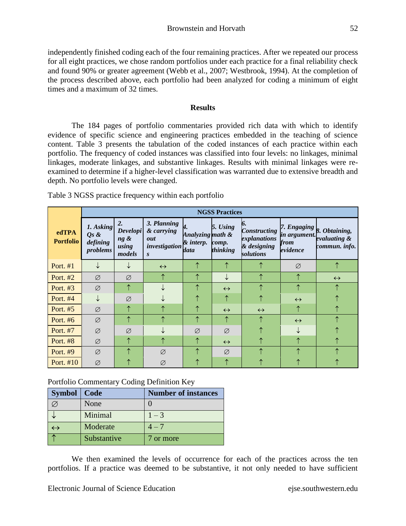independently finished coding each of the four remaining practices. After we repeated our process for all eight practices, we chose random portfolios under each practice for a final reliability check and found 90% or greater agreement (Webb et al., 2007; Westbrook, 1994). At the completion of the process described above, each portfolio had been analyzed for coding a minimum of eight times and a maximum of 32 times.

## **Results**

The 184 pages of portfolio commentaries provided rich data with which to identify evidence of specific science and engineering practices embedded in the teaching of science content. Table 3 presents the tabulation of the coded instances of each practice within each portfolio. The frequency of coded instances was classified into four levels: no linkages, minimal linkages, moderate linkages, and substantive linkages. Results with minimal linkages were reexamined to determine if a higher-level classification was warranted due to extensive breadth and depth. No portfolio levels were changed.

|                           |                                             |                                                     |                                                                       |                                       | <b>NGSS Practices</b>                |                                                                 |                                                 |                                                |
|---------------------------|---------------------------------------------|-----------------------------------------------------|-----------------------------------------------------------------------|---------------------------------------|--------------------------------------|-----------------------------------------------------------------|-------------------------------------------------|------------------------------------------------|
| edTPA<br><b>Portfolio</b> | 1. Asking<br>$Qs$ &<br>defining<br>problems | 2.<br><b>Developi</b><br>$ng \&$<br>using<br>models | 3. Planning<br>& carrying<br>out<br>investigation<br>$\boldsymbol{S}$ | Analyzing math &<br>& interp.<br>data | 5. Using<br>comp.<br><i>thinking</i> | <b>Constructing</b><br>explanations<br>& designing<br>solutions | 7. Engaging<br>in argument.<br>from<br>evidence | 8. Obtaining,<br>evaluating &<br>commun. info. |
| Port. $#1$                |                                             |                                                     | $\leftrightarrow$                                                     |                                       | ∧                                    |                                                                 | Ø                                               |                                                |
| Port. $#2$                | Ø                                           | Ø                                                   |                                                                       |                                       |                                      |                                                                 |                                                 | $\leftrightarrow$                              |
| Port. #3                  | Ø                                           |                                                     |                                                                       |                                       | $\leftrightarrow$                    |                                                                 |                                                 |                                                |
| Port. $#4$                |                                             | Ø                                                   |                                                                       |                                       |                                      |                                                                 | $\leftrightarrow$                               |                                                |
| Port. #5                  | Ø                                           | ↑                                                   |                                                                       |                                       | $\leftrightarrow$                    | $\leftrightarrow$                                               | ↑                                               |                                                |
| Port. #6                  | Ø                                           |                                                     |                                                                       |                                       |                                      |                                                                 | $\leftrightarrow$                               |                                                |
| Port. #7                  | Ø                                           | Ø                                                   |                                                                       | Ø                                     | Ø                                    |                                                                 |                                                 |                                                |
| <b>Port. #8</b>           | Ø                                           | ∧                                                   |                                                                       | ↑                                     | $\leftrightarrow$                    | ⋏                                                               | ᄉ                                               |                                                |
| Port. #9                  | Ø                                           |                                                     | Ø                                                                     |                                       | Ø                                    |                                                                 |                                                 |                                                |
| Port. #10                 | Ø                                           |                                                     | Ø                                                                     |                                       |                                      |                                                                 |                                                 |                                                |

Table 3 NGSS practice frequency within each portfolio

# Portfolio Commentary Coding Definition Key

| Symbol   Code     |             | <b>Number of instances</b> |
|-------------------|-------------|----------------------------|
|                   | None        |                            |
|                   | Minimal     | $1 - 3$                    |
| $\leftrightarrow$ | Moderate    | $4\,{-}\,7$                |
|                   | Substantive | 7 or more                  |

We then examined the levels of occurrence for each of the practices across the ten portfolios. If a practice was deemed to be substantive, it not only needed to have sufficient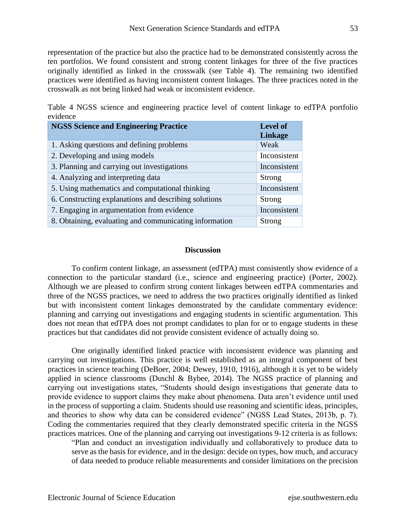representation of the practice but also the practice had to be demonstrated consistently across the ten portfolios. We found consistent and strong content linkages for three of the five practices originally identified as linked in the crosswalk (see Table 4). The remaining two identified practices were identified as having inconsistent content linkages. The three practices noted in the crosswalk as not being linked had weak or inconsistent evidence.

Table 4 NGSS science and engineering practice level of content linkage to edTPA portfolio evidence

| <b>NGSS Science and Engineering Practice</b>           | <b>Level of</b><br><b>Linkage</b> |
|--------------------------------------------------------|-----------------------------------|
| 1. Asking questions and defining problems              | Weak                              |
| 2. Developing and using models                         | Inconsistent                      |
| 3. Planning and carrying out investigations            | Inconsistent                      |
| 4. Analyzing and interpreting data                     | Strong                            |
| 5. Using mathematics and computational thinking        | Inconsistent                      |
| 6. Constructing explanations and describing solutions  | Strong                            |
| 7. Engaging in argumentation from evidence             | Inconsistent                      |
| 8. Obtaining, evaluating and communicating information | Strong                            |

### **Discussion**

To confirm content linkage, an assessment (edTPA) must consistently show evidence of a connection to the particular standard (i.e., science and engineering practice) (Porter, 2002). Although we are pleased to confirm strong content linkages between edTPA commentaries and three of the NGSS practices, we need to address the two practices originally identified as linked but with inconsistent content linkages demonstrated by the candidate commentary evidence: planning and carrying out investigations and engaging students in scientific argumentation. This does not mean that edTPA does not prompt candidates to plan for or to engage students in these practices but that candidates did not provide consistent evidence of actually doing so.

One originally identified linked practice with inconsistent evidence was planning and carrying out investigations. This practice is well established as an integral component of best practices in science teaching (DeBoer, 2004; Dewey, 1910, 1916), although it is yet to be widely applied in science classrooms (Duschl & Bybee, 2014). The NGSS practice of planning and carrying out investigations states, "Students should design investigations that generate data to provide evidence to support claims they make about phenomena. Data aren't evidence until used in the process of supporting a claim. Students should use reasoning and scientific ideas, principles, and theories to show why data can be considered evidence" (NGSS Lead States, 2013b, p. 7). Coding the commentaries required that they clearly demonstrated specific criteria in the NGSS practices matrices. One of the planning and carrying out investigations 9-12 criteria is as follows:

"Plan and conduct an investigation individually and collaboratively to produce data to serve as the basis for evidence, and in the design: decide on types, how much, and accuracy of data needed to produce reliable measurements and consider limitations on the precision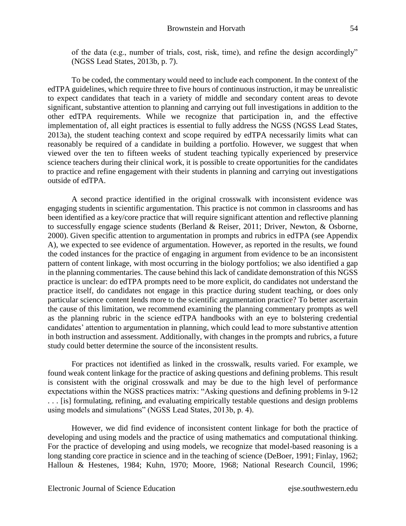of the data (e.g., number of trials, cost, risk, time), and refine the design accordingly" (NGSS Lead States, 2013b, p. 7).

To be coded, the commentary would need to include each component. In the context of the edTPA guidelines, which require three to five hours of continuous instruction, it may be unrealistic to expect candidates that teach in a variety of middle and secondary content areas to devote significant, substantive attention to planning and carrying out full investigations in addition to the other edTPA requirements. While we recognize that participation in, and the effective implementation of, all eight practices is essential to fully address the NGSS (NGSS Lead States, 2013a), the student teaching context and scope required by edTPA necessarily limits what can reasonably be required of a candidate in building a portfolio. However, we suggest that when viewed over the ten to fifteen weeks of student teaching typically experienced by preservice science teachers during their clinical work, it is possible to create opportunities for the candidates to practice and refine engagement with their students in planning and carrying out investigations outside of edTPA.

A second practice identified in the original crosswalk with inconsistent evidence was engaging students in scientific argumentation. This practice is not common in classrooms and has been identified as a key/core practice that will require significant attention and reflective planning to successfully engage science students (Berland & Reiser, 2011; Driver, Newton, & Osborne, 2000). Given specific attention to argumentation in prompts and rubrics in edTPA (see Appendix A), we expected to see evidence of argumentation. However, as reported in the results, we found the coded instances for the practice of engaging in argument from evidence to be an inconsistent pattern of content linkage, with most occurring in the biology portfolios; we also identified a gap in the planning commentaries. The cause behind this lack of candidate demonstration of this NGSS practice is unclear: do edTPA prompts need to be more explicit, do candidates not understand the practice itself, do candidates not engage in this practice during student teaching, or does only particular science content lends more to the scientific argumentation practice? To better ascertain the cause of this limitation, we recommend examining the planning commentary prompts as well as the planning rubric in the science edTPA handbooks with an eye to bolstering credential candidates' attention to argumentation in planning, which could lead to more substantive attention in both instruction and assessment. Additionally, with changes in the prompts and rubrics, a future study could better determine the source of the inconsistent results.

For practices not identified as linked in the crosswalk, results varied. For example, we found weak content linkage for the practice of asking questions and defining problems. This result is consistent with the original crosswalk and may be due to the high level of performance expectations within the NGSS practices matrix: "Asking questions and defining problems in 9-12 . . . [is] formulating, refining, and evaluating empirically testable questions and design problems using models and simulations" (NGSS Lead States, 2013b, p. 4).

However, we did find evidence of inconsistent content linkage for both the practice of developing and using models and the practice of using mathematics and computational thinking. For the practice of developing and using models, we recognize that model-based reasoning is a long standing core practice in science and in the teaching of science (DeBoer, 1991; Finlay, 1962; Halloun & Hestenes, 1984; Kuhn, 1970; Moore, 1968; National Research Council, 1996;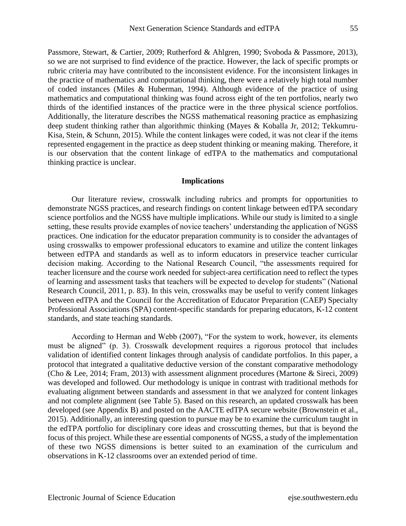Passmore, Stewart, & Cartier, 2009; Rutherford & Ahlgren, 1990; Svoboda & Passmore, 2013), so we are not surprised to find evidence of the practice. However, the lack of specific prompts or rubric criteria may have contributed to the inconsistent evidence. For the inconsistent linkages in the practice of mathematics and computational thinking, there were a relatively high total number of coded instances (Miles & Huberman, 1994). Although evidence of the practice of using mathematics and computational thinking was found across eight of the ten portfolios, nearly two thirds of the identified instances of the practice were in the three physical science portfolios. Additionally, the literature describes the NGSS mathematical reasoning practice as emphasizing deep student thinking rather than algorithmic thinking (Mayes & Koballa Jr, 2012; Tekkumru-Kisa, Stein, & Schunn, 2015). While the content linkages were coded, it was not clear if the items represented engagement in the practice as deep student thinking or meaning making. Therefore, it is our observation that the content linkage of edTPA to the mathematics and computational thinking practice is unclear.

### **Implications**

Our literature review, crosswalk including rubrics and prompts for opportunities to demonstrate NGSS practices, and research findings on content linkage between edTPA secondary science portfolios and the NGSS have multiple implications. While our study is limited to a single setting, these results provide examples of novice teachers' understanding the application of NGSS practices. One indication for the educator preparation community is to consider the advantages of using crosswalks to empower professional educators to examine and utilize the content linkages between edTPA and standards as well as to inform educators in preservice teacher curricular decision making. According to the National Research Council, "the assessments required for teacher licensure and the course work needed for subject-area certification need to reflect the types of learning and assessment tasks that teachers will be expected to develop for students" (National Research Council, 2011, p. 83). In this vein, crosswalks may be useful to verify content linkages between edTPA and the Council for the Accreditation of Educator Preparation (CAEP) Specialty Professional Associations (SPA) content-specific standards for preparing educators, K-12 content standards, and state teaching standards.

According to Herman and Webb (2007), "For the system to work, however, its elements must be aligned" (p. 3). Crosswalk development requires a rigorous protocol that includes validation of identified content linkages through analysis of candidate portfolios. In this paper, a protocol that integrated a qualitative deductive version of the constant comparative methodology (Cho & Lee, 2014; Fram, 2013) with assessment alignment procedures (Martone & Sireci, 2009) was developed and followed. Our methodology is unique in contrast with traditional methods for evaluating alignment between standards and assessment in that we analyzed for content linkages and not complete alignment (see Table 5). Based on this research, an updated crosswalk has been developed (see Appendix B) and posted on the AACTE edTPA secure website (Brownstein et al., 2015). Additionally, an interesting question to pursue may be to examine the curriculum taught in the edTPA portfolio for disciplinary core ideas and crosscutting themes, but that is beyond the focus of this project. While these are essential components of NGSS, a study of the implementation of these two NGSS dimensions is better suited to an examination of the curriculum and observations in K-12 classrooms over an extended period of time.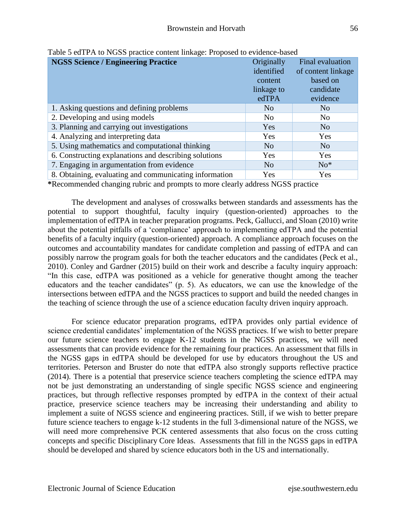| <b>NGSS Science / Engineering Practice</b>             | Originally<br>identified<br>content<br>linkage to<br>edTPA | Final evaluation<br>of content linkage<br>based on<br>candidate<br>evidence |
|--------------------------------------------------------|------------------------------------------------------------|-----------------------------------------------------------------------------|
| 1. Asking questions and defining problems              | N <sub>o</sub>                                             | N <sub>o</sub>                                                              |
| 2. Developing and using models                         | N <sub>o</sub>                                             | N <sub>0</sub>                                                              |
| 3. Planning and carrying out investigations            | Yes                                                        | N <sub>o</sub>                                                              |
| 4. Analyzing and interpreting data                     | Yes                                                        | Yes                                                                         |
| 5. Using mathematics and computational thinking        | N <sub>o</sub>                                             | N <sub>o</sub>                                                              |
| 6. Constructing explanations and describing solutions  | Yes                                                        | Yes                                                                         |
| 7. Engaging in argumentation from evidence             | N <sub>o</sub>                                             | $No*$                                                                       |
| 8. Obtaining, evaluating and communicating information | Yes                                                        | Yes                                                                         |

Table 5 edTPA to NGSS practice content linkage: Proposed to evidence-based

**\***Recommended changing rubric and prompts to more clearly address NGSS practice

The development and analyses of crosswalks between standards and assessments has the potential to support thoughtful, faculty inquiry (question-oriented) approaches to the implementation of edTPA in teacher preparation programs. Peck, Gallucci, and Sloan (2010) write about the potential pitfalls of a 'compliance' approach to implementing edTPA and the potential benefits of a faculty inquiry (question-oriented) approach. A compliance approach focuses on the outcomes and accountability mandates for candidate completion and passing of edTPA and can possibly narrow the program goals for both the teacher educators and the candidates (Peck et al., 2010). Conley and Gardner (2015) build on their work and describe a faculty inquiry approach: "In this case, edTPA was positioned as a vehicle for generative thought among the teacher educators and the teacher candidates" (p. 5). As educators, we can use the knowledge of the intersections between edTPA and the NGSS practices to support and build the needed changes in the teaching of science through the use of a science education faculty driven inquiry approach.

For science educator preparation programs, edTPA provides only partial evidence of science credential candidates' implementation of the NGSS practices. If we wish to better prepare our future science teachers to engage K-12 students in the NGSS practices, we will need assessments that can provide evidence for the remaining four practices. An assessment that fills in the NGSS gaps in edTPA should be developed for use by educators throughout the US and territories. Peterson and Bruster do note that edTPA also strongly supports reflective practice (2014). There is a potential that preservice science teachers completing the science edTPA may not be just demonstrating an understanding of single specific NGSS science and engineering practices, but through reflective responses prompted by edTPA in the context of their actual practice, preservice science teachers may be increasing their understanding and ability to implement a suite of NGSS science and engineering practices. Still, if we wish to better prepare future science teachers to engage k-12 students in the full 3-dimensional nature of the NGSS, we will need more comprehensive PCK centered assessments that also focus on the cross cutting concepts and specific Disciplinary Core Ideas. Assessments that fill in the NGSS gaps in edTPA should be developed and shared by science educators both in the US and internationally.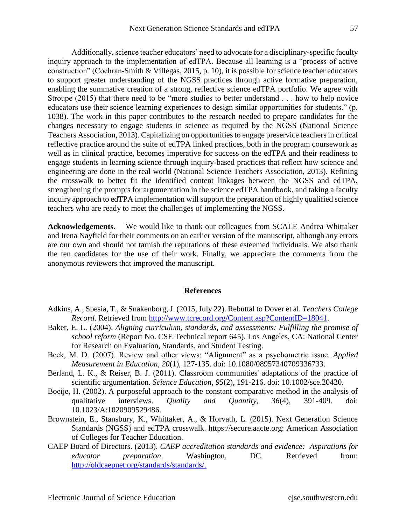Additionally, science teacher educators' need to advocate for a disciplinary-specific faculty inquiry approach to the implementation of edTPA. Because all learning is a "process of active construction" (Cochran-Smith & Villegas, 2015, p. 10), it is possible for science teacher educators to support greater understanding of the NGSS practices through active formative preparation, enabling the summative creation of a strong, reflective science edTPA portfolio. We agree with Stroupe (2015) that there need to be "more studies to better understand . . . how to help novice educators use their science learning experiences to design similar opportunities for students." (p. 1038). The work in this paper contributes to the research needed to prepare candidates for the changes necessary to engage students in science as required by the NGSS (National Science Teachers Association, 2013). Capitalizing on opportunities to engage preservice teachers in critical reflective practice around the suite of edTPA linked practices, both in the program coursework as well as in clinical practice, becomes imperative for success on the edTPA and their readiness to engage students in learning science through inquiry-based practices that reflect how science and engineering are done in the real world (National Science Teachers Association, 2013). Refining the crosswalk to better fit the identified content linkages between the NGSS and edTPA, strengthening the prompts for argumentation in the science edTPA handbook, and taking a faculty inquiry approach to edTPA implementation will support the preparation of highly qualified science teachers who are ready to meet the challenges of implementing the NGSS.

**Acknowledgements.** We would like to thank our colleagues from SCALE Andrea Whittaker and Irena Nayfield for their comments on an earlier version of the manuscript, although any errors are our own and should not tarnish the reputations of these esteemed individuals. We also thank the ten candidates for the use of their work. Finally, we appreciate the comments from the anonymous reviewers that improved the manuscript.

#### **References**

- Adkins, A., Spesia, T., & Snakenborg, J. (2015, July 22). Rebuttal to Dover et al. *Teachers College Record*. Retrieved from [http://www.tcrecord.org/Content.asp?ContentID=18041.](http://www.tcrecord.org/Content.asp?ContentID=18041)
- Baker, E. L. (2004). *Aligning curriculum, standards, and assessments: Fulfilling the promise of school reform* (Report No. CSE Technical report 645). Los Angeles, CA: National Center for Research on Evaluation, Standards, and Student Testing.
- Beck, M. D. (2007). Review and other views: "Alignment" as a psychometric issue. *Applied Measurement in Education, 20*(1), 127-135. doi: 10.1080/08957340709336733.
- Berland, L. K., & Reiser, B. J. (2011). Classroom communities' adaptations of the practice of scientific argumentation. *Science Education, 95*(2), 191-216. doi: 10.1002/sce.20420.
- Boeije, H. (2002). A purposeful approach to the constant comparative method in the analysis of qualitative interviews. *Quality and Quantity, 36*(4), 391-409. doi: 10.1023/A:1020909529486.
- Brownstein, E., Stansbury, K., Whittaker, A., & Horvath, L. (2015). Next Generation Science Standards (NGSS) and edTPA crosswalk. https://secure.aacte.org: American Association of Colleges for Teacher Education.
- CAEP Board of Directors. (2013). *CAEP accreditation standards and evidence: Aspirations for educator preparation*. Washington, DC. Retrieved from: [http://oldcaepnet.org/standards/standards/.](http://oldcaepnet.org/standards/standards/)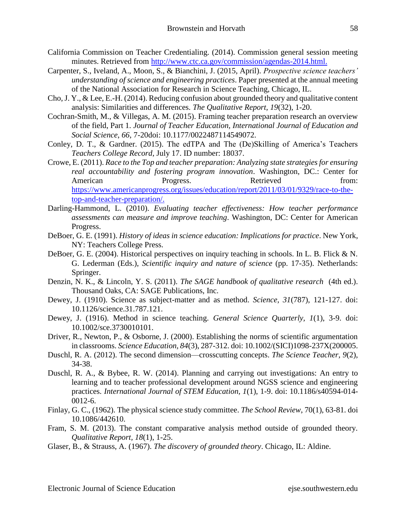- California Commission on Teacher Credentialing. (2014). Commission general session meeting minutes. Retrieved from [http://www.ctc.ca.gov/commission/agendas-2014.html.](http://www.ctc.ca.gov/commission/agendas-2014.html)
- Carpenter, S., Iveland, A., Moon, S., & Bianchini, J. (2015, April). *Prospective science teachers' understanding of science and engineering practices*. Paper presented at the annual meeting of the National Association for Research in Science Teaching, Chicago, IL.
- Cho, J. Y., & Lee, E.-H. (2014). Reducing confusion about grounded theory and qualitative content analysis: Similarities and differences. *The Qualitative Report, 19*(32), 1-20.
- Cochran-Smith, M., & Villegas, A. M. (2015). Framing teacher preparation research an overview of the field, Part 1. *Journal of Teacher Education, International Journal of Education and Social Science*, *66*, 7-20doi: 10.1177/0022487114549072.
- Conley, D. T., & Gardner. (2015). The edTPA and The (De)Skilling of America's Teachers *Teachers College Record*, July 17. ID number: 18037.
- Crowe, E. (2011). *Race to the Top and teacher preparation: Analyzing state strategies for ensuring real accountability and fostering program innovation*. Washington, DC.: Center for American Progress. Retrieved from: [https://www.americanprogress.org/issues/education/report/2011/03/01/9329/race-to-the](https://www.americanprogress.org/issues/education/report/2011/03/01/9329/race-to-the-top-and-teacher-preparation/)[top-and-teacher-preparation/.](https://www.americanprogress.org/issues/education/report/2011/03/01/9329/race-to-the-top-and-teacher-preparation/)
- Darling-Hammond, L. (2010). *Evaluating teacher effectiveness: How teacher performance assessments can measure and improve teaching*. Washington, DC: Center for American Progress.
- DeBoer, G. E. (1991). *History of ideas in science education: Implications for practice*. New York, NY: Teachers College Press.
- DeBoer, G. E. (2004). Historical perspectives on inquiry teaching in schools. In L. B. Flick & N. G. Lederman (Eds.), *Scientific inquiry and nature of science* (pp. 17-35). Netherlands: Springer.
- Denzin, N. K., & Lincoln, Y. S. (2011). *The SAGE handbook of qualitative research* (4th ed.). Thousand Oaks, CA: SAGE Publications, Inc.
- Dewey, J. (1910). Science as subject-matter and as method. *Science, 31*(787), 121-127. doi: 10.1126/science.31.787.121.
- Dewey, J. (1916). Method in science teaching. *General Science Quarterly, 1*(1), 3-9. doi: 10.1002/sce.3730010101.
- Driver, R., Newton, P., & Osborne, J. (2000). Establishing the norms of scientific argumentation in classrooms. *Science Education, 84*(3), 287-312. doi: 10.1002/(SICI)1098-237X(200005.
- Duschl, R. A. (2012). The second dimension—crosscutting concepts. *The Science Teacher, 9*(2), 34-38.
- Duschl, R. A., & Bybee, R. W. (2014). Planning and carrying out investigations: An entry to learning and to teacher professional development around NGSS science and engineering practices. *International Journal of STEM Education, 1*(1), 1-9. doi: 10.1186/s40594-014- 0012-6.
- Finlay, G. C., (1962). The physical science study committee. *The School Review*, 70(1), 63-81. doi 10.1086/442610.
- Fram, S. M. (2013). The constant comparative analysis method outside of grounded theory. *Qualitative Report, 18*(1), 1-25.
- Glaser, B., & Strauss, A. (1967). *The discovery of grounded theory*. Chicago, IL: Aldine.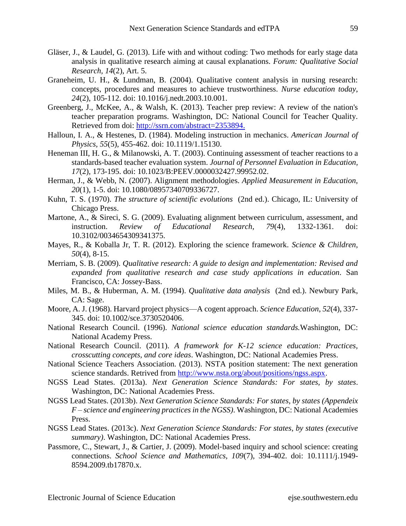- Gläser, J., & Laudel, G. (2013). Life with and without coding: Two methods for early stage data analysis in qualitative research aiming at causal explanations. *Forum: Qualitative Social Research, 14*(2), Art. 5.
- Graneheim, U. H., & Lundman, B. (2004). Qualitative content analysis in nursing research: concepts, procedures and measures to achieve trustworthiness. *Nurse education today*, *24*(2), 105-112. doi: 10.1016/j.nedt.2003.10.001.
- Greenberg, J., McKee, A., & Walsh, K. (2013). Teacher prep review: A review of the nation's teacher preparation programs. Washington, DC: National Council for Teacher Quality. Retrieved from doi: [http://ssrn.com/abstract=2353894.](http://ssrn.com/abstract=2353894)
- Halloun, I. A., & Hestenes, D. (1984). Modeling instruction in mechanics. *American Journal of Physics, 55*(5), 455-462. doi: 10.1119/1.15130.
- Heneman III, H. G., & Milanowski, A. T. (2003). Continuing assessment of teacher reactions to a standards-based teacher evaluation system. *Journal of Personnel Evaluation in Education, 17*(2), 173-195. doi: 10.1023/B:PEEV.0000032427.99952.02.
- Herman, J., & Webb, N. (2007). Alignment methodologies. *Applied Measurement in Education, 20*(1), 1-5. doi: 10.1080/08957340709336727.
- Kuhn, T. S. (1970). *The structure of scientific evolutions* (2nd ed.). Chicago, IL: University of Chicago Press.
- Martone, A., & Sireci, S. G. (2009). Evaluating alignment between curriculum, assessment, and instruction. *Review of Educational Research, 79*(4), 1332-1361. doi: 10.3102/0034654309341375.
- Mayes, R., & Koballa Jr, T. R. (2012). Exploring the science framework. *Science & Children, 50*(4), 8-15.
- Merriam, S. B. (2009). *Qualitative research: A guide to design and implementation: Revised and expanded from qualitative research and case study applications in education*. San Francisco, CA: Jossey-Bass.
- Miles, M. B., & Huberman, A. M. (1994). *Qualitative data analysis* (2nd ed.). Newbury Park, CA: Sage.
- Moore, A. J. (1968). Harvard project physics—A cogent approach. *Science Education*, *52*(4), 337- 345. doi: 10.1002/sce.3730520406.
- National Research Council. (1996). *National science education standards.*Washington, DC: National Academy Press.
- National Research Council. (2011). *A framework for K-12 science education: Practices, crosscutting concepts, and core ideas*. Washington, DC: National Academies Press.
- National Science Teachers Association. (2013). NSTA position statement: The next generation science standards. Retrived from [http://www.nsta.org/about/positions/ngss.aspx.](http://www.nsta.org/about/positions/ngss.aspx)
- NGSS Lead States. (2013a). *Next Generation Science Standards: For states, by states*. Washington, DC: National Academies Press.
- NGSS Lead States. (2013b). *Next Generation Science Standards: For states, by states (Appendeix F – science and engineering practices in the NGSS)*. Washington, DC: National Academies Press.
- NGSS Lead States. (2013c). *Next Generation Science Standards: For states, by states (executive summary)*. Washington, DC: National Academies Press.
- Passmore, C., Stewart, J., & Cartier, J. (2009). Model-based inquiry and school science: creating connections. *School Science and Mathematics, 109*(7), 394-402. doi: 10.1111/j.1949- 8594.2009.tb17870.x.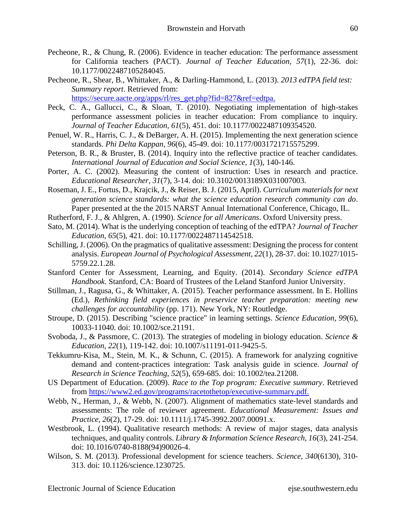- Pecheone, R., & Chung, R. (2006). Evidence in teacher education: The performance assessment for California teachers (PACT). *Journal of Teacher Education, 57*(1), 22-36. doi: 10.1177/0022487105284045.
- Pecheone, R., Shear, B., Whittaker, A., & Darling-Hammond, L. (2013). *2013 edTPA field test: Summary report*. Retrieved from: [https://secure.aacte.org/apps/rl/res\\_get.php?fid=827&ref=edtpa.](https://secure.aacte.org/apps/rl/res_get.php?fid=827&ref=edtpa)
- Peck, C. A., Gallucci, C., & Sloan, T. (2010). Negotiating implementation of high-stakes performance assessment policies in teacher education: From compliance to inquiry. *Journal of Teacher Education, 61*(5), 451. doi: 10.1177/0022487109354520.
- Penuel, W. R., Harris, C. J., & DeBarger, A. H. (2015). Implementing the next generation science standards. *Phi Delta Kappan, 96*(6), 45-49. doi: 10.1177/0031721715575299.
- Peterson, B. R., & Bruster, B. (2014). Inquiry into the reflective practice of teacher candidates. *International Journal of Education and Social Science, 1*(3), 140-146.
- Porter, A. C. (2002). Measuring the content of instruction: Uses in research and practice. *Educational Researcher, 31*(7), 3-14. doi: 10.3102/0013189X031007003.
- Roseman, J. E., Fortus, D., Krajcik, J., & Reiser, B. J. (2015, April). *Curriculum materials for next generation science standards: what the science education research community can do*. Paper presented at the the 2015 NARST Annual International Conference, Chicago, IL.
- Rutherford, F. J., & Ahlgren, A. (1990). *Science for all Americans*. Oxford University press.
- Sato, M. (2014). What is the underlying conception of teaching of the edTPA? *Journal of Teacher Education, 65*(5), 421. doi: 10.1177/0022487114542518.
- Schilling, J. (2006). On the pragmatics of qualitative assessment: Designing the process for content analysis. *European Journal of Psychological Assessment, 22*(1), 28-37. doi: 10.1027/1015- 5759.22.1.28.
- Stanford Center for Assessment, Learning, and Equity. (2014). *Secondary Science edTPA Handbook*. Stanford, CA: Board of Trustees of the Leland Stanford Junior University.
- Stillman, J., Ragusa, G., & Whittaker, A. (2015). Teacher performance assessment. In E. Hollins (Ed.), *Rethinking field experiences in preservice teacher preparation: meeting new challenges for accountability* (pp. 171). New York, NY: Routledge.
- Stroupe, D. (2015). Describing "science practice" in learning settings. *Science Education, 99*(6), 10033-11040. doi: 10.1002/sce.21191.
- Svoboda, J., & Passmore, C. (2013). The strategies of modeling in biology education. *Science & Education, 22*(1), 119-142. doi: 10.1007/s11191-011-9425-5.
- Tekkumru‐Kisa, M., Stein, M. K., & Schunn, C. (2015). A framework for analyzing cognitive demand and content‐practices integration: Task analysis guide in science. *Journal of Research in Science Teaching, 52*(5), 659-685. doi: 10.1002/tea.21208.
- US Department of Education. (2009). *Race to the Top program: Executive summary*. Retrieved from [https://www2.ed.gov/programs/racetothetop/executive-summary.pdf.](https://www2.ed.gov/programs/racetothetop/executive-summary.pdf)
- Webb, N., Herman, J., & Webb, N. (2007). Alignment of mathematics state-level standards and assessments: The role of reviewer agreement. *Educational Measurement: Issues and Practice, 26*(2), 17-29. doi: 10.1111/j.1745-3992.2007.00091.x.
- Westbrook, L. (1994). Qualitative research methods: A review of major stages, data analysis techniques, and quality controls. *Library & Information Science Research, 16*(3), 241-254. doi: 10.1016/0740-8188(94)90026-4.
- Wilson, S. M. (2013). Professional development for science teachers. *Science, 340*(6130), 310- 313. doi: 10.1126/science.1230725.

Electronic Journal of Science Education ejse.southwestern.edu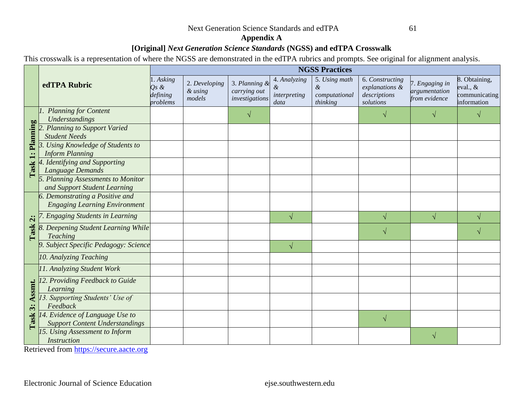Next Generation Science Standards and edTPA 61

## **Appendix A**

# **[Original]** *Next Generation Science Standards* **(NGSS) and edTPA Crosswalk**

This crosswalk is a representation of where the NGSS are demonstrated in the edTPA rubrics and prompts. See original for alignment analysis.

|                                   |                                                                          |                                           |                                    |                                                 |                                           | <b>NGSS Practices</b>                           |                                                                |                                                  |                                                             |
|-----------------------------------|--------------------------------------------------------------------------|-------------------------------------------|------------------------------------|-------------------------------------------------|-------------------------------------------|-------------------------------------------------|----------------------------------------------------------------|--------------------------------------------------|-------------------------------------------------------------|
|                                   | edTPA Rubric                                                             | 1. Asking<br>Os &<br>defining<br>problems | 2. Developing<br>& using<br>models | 3. Planning &<br>carrying out<br>investigations | 4. Analyzing<br>&<br>interpreting<br>data | 5. Using math<br>&<br>computational<br>thinking | 6. Constructing<br>explanations &<br>descriptions<br>solutions | 7. Engaging in<br>argumentation<br>from evidence | 8. Obtaining,<br>eval., $&$<br>communicating<br>information |
|                                   | <b>Planning for Content</b><br>Understandings                            |                                           |                                    |                                                 |                                           |                                                 |                                                                |                                                  |                                                             |
| Planning<br>$\ddot{ }$            | <b>Planning to Support Varied</b><br><b>Student Needs</b>                |                                           |                                    |                                                 |                                           |                                                 |                                                                |                                                  |                                                             |
|                                   | <b>Using Knowledge of Students to</b><br><b>Inform Planning</b>          |                                           |                                    |                                                 |                                           |                                                 |                                                                |                                                  |                                                             |
| Task                              | 4. Identifying and Supporting<br>Language Demands                        |                                           |                                    |                                                 |                                           |                                                 |                                                                |                                                  |                                                             |
|                                   | 5. Planning Assessments to Monitor<br>and Support Student Learning       |                                           |                                    |                                                 |                                           |                                                 |                                                                |                                                  |                                                             |
|                                   | 6. Demonstrating a Positive and<br><b>Engaging Learning Environment</b>  |                                           |                                    |                                                 |                                           |                                                 |                                                                |                                                  |                                                             |
| $\ddot{\mathbf{c}}$               | <b>Engaging Students in Learning</b>                                     |                                           |                                    |                                                 | V                                         |                                                 | $\sqrt{}$                                                      | $\sqrt{ }$                                       |                                                             |
| Task                              | 8. Deepening Student Learning While<br><b>Teaching</b>                   |                                           |                                    |                                                 |                                           |                                                 | $\mathcal{N}$                                                  |                                                  |                                                             |
|                                   | 9. Subject Specific Pedagogy: Science                                    |                                           |                                    |                                                 | V                                         |                                                 |                                                                |                                                  |                                                             |
|                                   | 10. Analyzing Teaching                                                   |                                           |                                    |                                                 |                                           |                                                 |                                                                |                                                  |                                                             |
|                                   | 11. Analyzing Student Work                                               |                                           |                                    |                                                 |                                           |                                                 |                                                                |                                                  |                                                             |
| Assmt.<br>$\ddot{\bm{x}}$<br>Task | 12. Providing Feedback to Guide<br>Learning                              |                                           |                                    |                                                 |                                           |                                                 |                                                                |                                                  |                                                             |
|                                   | 13. Supporting Students' Use of<br>Feedback                              |                                           |                                    |                                                 |                                           |                                                 |                                                                |                                                  |                                                             |
|                                   | 14. Evidence of Language Use to<br><b>Support Content Understandings</b> |                                           |                                    |                                                 |                                           |                                                 | $\sqrt{ }$                                                     |                                                  |                                                             |
|                                   | 15. Using Assessment to Inform<br><b>Instruction</b>                     |                                           |                                    |                                                 |                                           |                                                 |                                                                |                                                  |                                                             |

Retrieved from [https://secure.aacte.org](https://secure.aacte.org/)